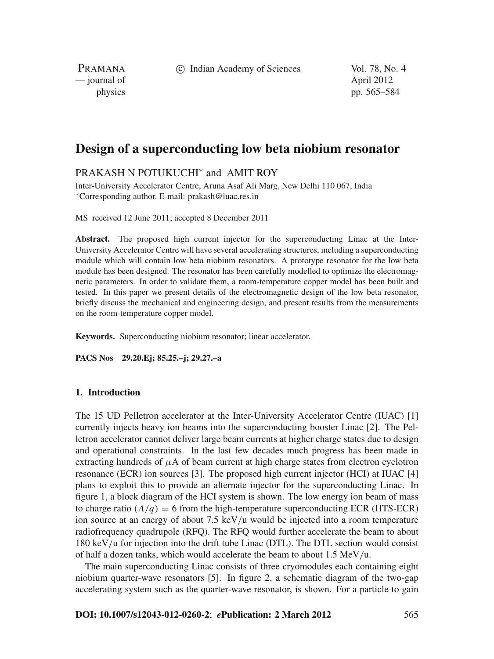c Indian Academy of Sciences Vol. 78, No. 4

PRAMANA — journal of April 2012

physics pp. 565–584

# **Design of a superconducting low beta niobium resonator**

# PRAKASH N POTUKUCHI<sup>∗</sup> and AMIT ROY

Inter-University Accelerator Centre, Aruna Asaf Ali Marg, New Delhi 110 067, India <sup>∗</sup>Corresponding author. E-mail: prakash@iuac.res.in

MS received 12 June 2011; accepted 8 December 2011

**Abstract.** The proposed high current injector for the superconducting Linac at the Inter-University Accelerator Centre will have several accelerating structures, including a superconducting module which will contain low beta niobium resonators. A prototype resonator for the low beta module has been designed. The resonator has been carefully modelled to optimize the electromagnetic parameters. In order to validate them, a room-temperature copper model has been built and tested. In this paper we present details of the electromagnetic design of the low beta resonator, briefly discuss the mechanical and engineering design, and present results from the measurements on the room-temperature copper model.

**Keywords.** Superconducting niobium resonator; linear accelerator.

**PACS Nos 29.20.Ej; 85.25.–j; 29.27.–a**

# **1. Introduction**

The 15 UD Pelletron accelerator at the Inter-University Accelerator Centre (IUAC) [1] currently injects heavy ion beams into the superconducting booster Linac [2]. The Pelletron accelerator cannot deliver large beam currents at higher charge states due to design and operational constraints. In the last few decades much progress has been made in extracting hundreds of  $\mu A$  of beam current at high charge states from electron cyclotron resonance (ECR) ion sources [3]. The proposed high current injector (HCI) at IUAC [4] plans to exploit this to provide an alternate injector for the superconducting Linac. In figure 1, a block diagram of the HCI system is shown. The low energy ion beam of mass to charge ratio  $(A/q) = 6$  from the high-temperature superconducting ECR (HTS-ECR) ion source at an energy of about 7.5 keV/u would be injected into a room temperature radiofrequency quadrupole (RFQ). The RFQ would further accelerate the beam to about 180 keV/u for injection into the drift tube Linac (DTL). The DTL section would consist of half a dozen tanks, which would accelerate the beam to about  $1.5 \text{ MeV/u}$ .

The main superconducting Linac consists of three cryomodules each containing eight niobium quarter-wave resonators [5]. In figure 2, a schematic diagram of the two-gap accelerating system such as the quarter-wave resonator, is shown. For a particle to gain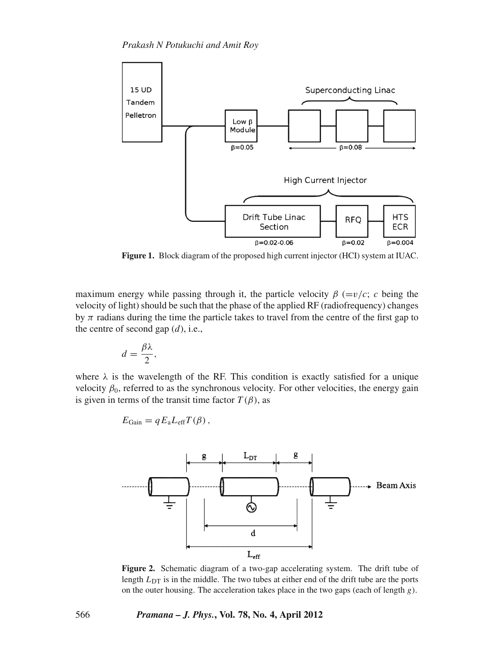

**Figure 1.** Block diagram of the proposed high current injector (HCI) system at IUAC.

maximum energy while passing through it, the particle velocity  $\beta$  (=v/c; c being the velocity of light) should be such that the phase of the applied RF (radiofrequency) changes by  $\pi$  radians during the time the particle takes to travel from the centre of the first gap to the centre of second gap (*d*), i.e.,

$$
d=\frac{\beta\lambda}{2},
$$

where  $\lambda$  is the wavelength of the RF. This condition is exactly satisfied for a unique velocity  $\beta_0$ , referred to as the synchronous velocity. For other velocities, the energy gain is given in terms of the transit time factor  $T(\beta)$ , as

$$
E_{\text{Gain}} = q E_{\text{a}} L_{\text{eff}} T(\beta) ,
$$



**Figure 2.** Schematic diagram of a two-gap accelerating system. The drift tube of length  $L_{DT}$  is in the middle. The two tubes at either end of the drift tube are the ports on the outer housing. The acceleration takes place in the two gaps (each of length *g*).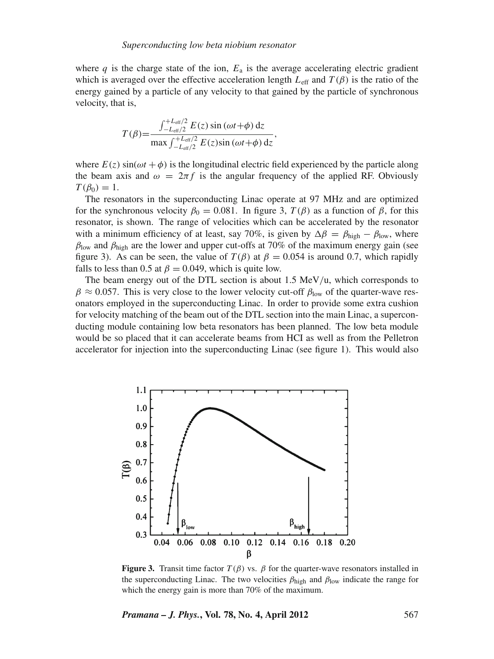where *q* is the charge state of the ion,  $E_a$  is the average accelerating electric gradient which is averaged over the effective acceleration length  $L_{\text{eff}}$  and  $T(\beta)$  is the ratio of the energy gained by a particle of any velocity to that gained by the particle of synchronous velocity, that is,

$$
T(\beta) = \frac{\int_{-L_{\text{eff}}/2}^{+L_{\text{eff}}/2} E(z) \sin(\omega t + \phi) dz}{\max \int_{-L_{\text{eff}}/2}^{+L_{\text{eff}}/2} E(z) \sin(\omega t + \phi) dz},
$$

where  $E(z)$  sin( $\omega t + \phi$ ) is the longitudinal electric field experienced by the particle along the beam axis and  $\omega = 2\pi f$  is the angular frequency of the applied RF. Obviously  $T(\beta_0)=1$ .

The resonators in the superconducting Linac operate at 97 MHz and are optimized for the synchronous velocity  $\beta_0 = 0.081$ . In figure 3,  $T(\beta)$  as a function of  $\beta$ , for this resonator, is shown. The range of velocities which can be accelerated by the resonator with a minimum efficiency of at least, say 70%, is given by  $\Delta \beta = \beta_{\text{high}} - \beta_{\text{low}}$ , where  $\beta_{\text{low}}$  and  $\beta_{\text{high}}$  are the lower and upper cut-offs at 70% of the maximum energy gain (see figure 3). As can be seen, the value of  $T(\beta)$  at  $\beta = 0.054$  is around 0.7, which rapidly falls to less than 0.5 at  $\beta = 0.049$ , which is quite low.

The beam energy out of the DTL section is about 1.5 MeV/u, which corresponds to  $\beta \approx 0.057$ . This is very close to the lower velocity cut-off  $\beta_{\text{low}}$  of the quarter-wave resonators employed in the superconducting Linac. In order to provide some extra cushion for velocity matching of the beam out of the DTL section into the main Linac, a superconducting module containing low beta resonators has been planned. The low beta module would be so placed that it can accelerate beams from HCI as well as from the Pelletron accelerator for injection into the superconducting Linac (see figure 1). This would also



**Figure 3.** Transit time factor  $T(\beta)$  vs.  $\beta$  for the quarter-wave resonators installed in the superconducting Linac. The two velocities  $\beta_{\text{high}}$  and  $\beta_{\text{low}}$  indicate the range for which the energy gain is more than 70% of the maximum.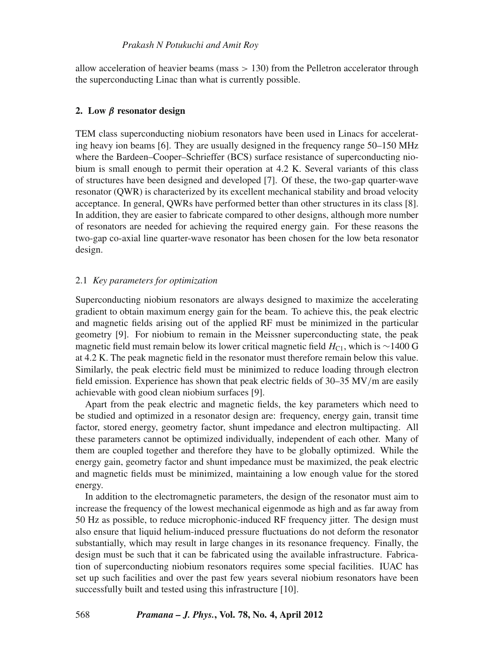allow acceleration of heavier beams (mass  $> 130$ ) from the Pelletron accelerator through the superconducting Linac than what is currently possible.

# **2. Low** *β* **resonator design**

TEM class superconducting niobium resonators have been used in Linacs for accelerating heavy ion beams [6]. They are usually designed in the frequency range 50–150 MHz where the Bardeen–Cooper–Schrieffer (BCS) surface resistance of superconducting niobium is small enough to permit their operation at 4.2 K. Several variants of this class of structures have been designed and developed [7]. Of these, the two-gap quarter-wave resonator (QWR) is characterized by its excellent mechanical stability and broad velocity acceptance. In general, QWRs have performed better than other structures in its class [8]. In addition, they are easier to fabricate compared to other designs, although more number of resonators are needed for achieving the required energy gain. For these reasons the two-gap co-axial line quarter-wave resonator has been chosen for the low beta resonator design.

# 2.1 *Key parameters for optimization*

Superconducting niobium resonators are always designed to maximize the accelerating gradient to obtain maximum energy gain for the beam. To achieve this, the peak electric and magnetic fields arising out of the applied RF must be minimized in the particular geometry [9]. For niobium to remain in the Meissner superconducting state, the peak magnetic field must remain below its lower critical magnetic field *H*<sub>C1</sub>, which is ∼1400 G at 4.2 K. The peak magnetic field in the resonator must therefore remain below this value. Similarly, the peak electric field must be minimized to reduce loading through electron field emission. Experience has shown that peak electric fields of 30–35 MV/m are easily achievable with good clean niobium surfaces [9].

Apart from the peak electric and magnetic fields, the key parameters which need to be studied and optimized in a resonator design are: frequency, energy gain, transit time factor, stored energy, geometry factor, shunt impedance and electron multipacting. All these parameters cannot be optimized individually, independent of each other. Many of them are coupled together and therefore they have to be globally optimized. While the energy gain, geometry factor and shunt impedance must be maximized, the peak electric and magnetic fields must be minimized, maintaining a low enough value for the stored energy.

In addition to the electromagnetic parameters, the design of the resonator must aim to increase the frequency of the lowest mechanical eigenmode as high and as far away from 50 Hz as possible, to reduce microphonic-induced RF frequency jitter. The design must also ensure that liquid helium-induced pressure fluctuations do not deform the resonator substantially, which may result in large changes in its resonance frequency. Finally, the design must be such that it can be fabricated using the available infrastructure. Fabrication of superconducting niobium resonators requires some special facilities. IUAC has set up such facilities and over the past few years several niobium resonators have been successfully built and tested using this infrastructure [10].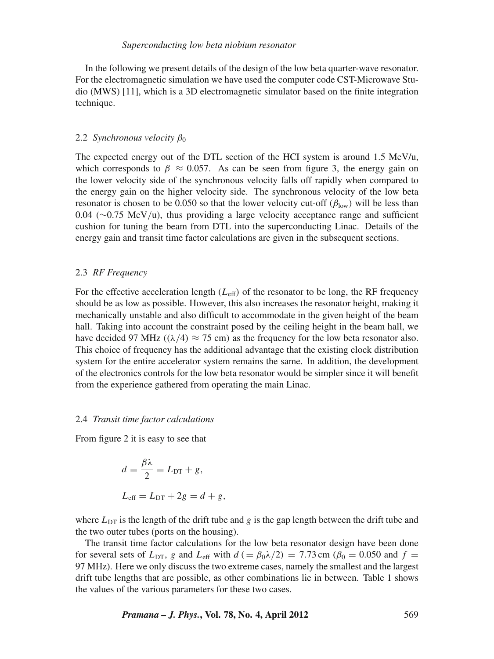In the following we present details of the design of the low beta quarter-wave resonator. For the electromagnetic simulation we have used the computer code CST-Microwave Studio (MWS) [11], which is a 3D electromagnetic simulator based on the finite integration technique.

#### 2.2 *Synchronous velocity*  $β_0$

The expected energy out of the DTL section of the HCI system is around 1.5 MeV/u, which corresponds to  $\beta \approx 0.057$ . As can be seen from figure 3, the energy gain on the lower velocity side of the synchronous velocity falls off rapidly when compared to the energy gain on the higher velocity side. The synchronous velocity of the low beta resonator is chosen to be 0.050 so that the lower velocity cut-off  $(\beta_{low})$  will be less than 0.04 (∼0.75 MeV/u), thus providing a large velocity acceptance range and sufficient cushion for tuning the beam from DTL into the superconducting Linac. Details of the energy gain and transit time factor calculations are given in the subsequent sections.

# 2.3 *RF Frequency*

For the effective acceleration length  $(L<sub>eff</sub>)$  of the resonator to be long, the RF frequency should be as low as possible. However, this also increases the resonator height, making it mechanically unstable and also difficult to accommodate in the given height of the beam hall. Taking into account the constraint posed by the ceiling height in the beam hall, we have decided 97 MHz ( $(\lambda/4) \approx 75$  cm) as the frequency for the low beta resonator also. This choice of frequency has the additional advantage that the existing clock distribution system for the entire accelerator system remains the same. In addition, the development of the electronics controls for the low beta resonator would be simpler since it will benefit from the experience gathered from operating the main Linac.

#### 2.4 *Transit time factor calculations*

From figure 2 it is easy to see that

$$
d = \frac{\beta \lambda}{2} = L_{\text{DT}} + g,
$$
  

$$
L_{\text{eff}} = L_{\text{DT}} + 2g = d + g,
$$

where  $L_{DT}$  is the length of the drift tube and *g* is the gap length between the drift tube and the two outer tubes (ports on the housing).

The transit time factor calculations for the low beta resonator design have been done for several sets of  $L_{\text{DT}}$ , *g* and  $L_{\text{eff}}$  with  $d$  (=  $\beta_0 \lambda/2$ ) = 7.73 cm ( $\beta_0$  = 0.050 and  $f$  = 97 MHz). Here we only discuss the two extreme cases, namely the smallest and the largest drift tube lengths that are possible, as other combinations lie in between. Table 1 shows the values of the various parameters for these two cases.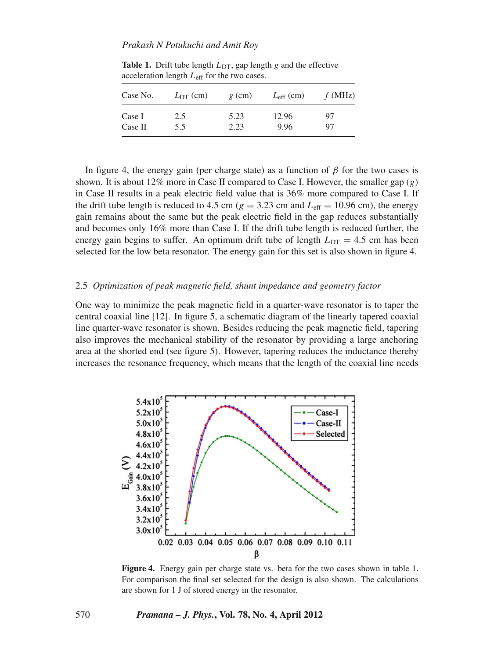| Case No. | $L_{DT}$ (cm) | $g$ (cm) | $L_{\rm eff}$ (cm) | f(MHz) |
|----------|---------------|----------|--------------------|--------|
| Case I   | 2.5           | 5.23     | 12.96              | 97     |
| Case II  | 5.5           | 2.23     | 9.96               | 97     |

**Table 1.** Drift tube length  $L_{DT}$ , gap length  $g$  and the effective acceleration length *L*eff for the two cases.

In figure 4, the energy gain (per charge state) as a function of  $\beta$  for the two cases is shown. It is about 12% more in Case II compared to Case I. However, the smaller gap (*g*) in Case II results in a peak electric field value that is 36% more compared to Case I. If the drift tube length is reduced to 4.5 cm ( $g = 3.23$  cm and  $L_{\text{eff}} = 10.96$  cm), the energy gain remains about the same but the peak electric field in the gap reduces substantially and becomes only 16% more than Case I. If the drift tube length is reduced further, the energy gain begins to suffer. An optimum drift tube of length  $L_{\text{DT}} = 4.5$  cm has been selected for the low beta resonator. The energy gain for this set is also shown in figure 4.

### 2.5 *Optimization of peak magnetic field, shunt impedance and geometry factor*

One way to minimize the peak magnetic field in a quarter-wave resonator is to taper the central coaxial line [12]. In figure 5, a schematic diagram of the linearly tapered coaxial line quarter-wave resonator is shown. Besides reducing the peak magnetic field, tapering also improves the mechanical stability of the resonator by providing a large anchoring area at the shorted end (see figure 5). However, tapering reduces the inductance thereby increases the resonance frequency, which means that the length of the coaxial line needs



**Figure 4.** Energy gain per charge state vs. beta for the two cases shown in table 1. For comparison the final set selected for the design is also shown. The calculations are shown for 1 J of stored energy in the resonator.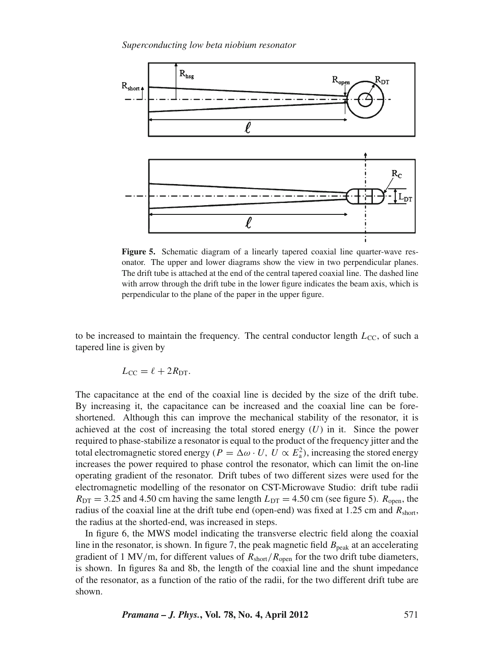

**Figure 5.** Schematic diagram of a linearly tapered coaxial line quarter-wave resonator. The upper and lower diagrams show the view in two perpendicular planes. The drift tube is attached at the end of the central tapered coaxial line. The dashed line with arrow through the drift tube in the lower figure indicates the beam axis, which is perpendicular to the plane of the paper in the upper figure.

to be increased to maintain the frequency. The central conductor length  $L_{\text{CC}}$ , of such a tapered line is given by

$$
L_{\rm CC} = \ell + 2R_{\rm DT}.
$$

The capacitance at the end of the coaxial line is decided by the size of the drift tube. By increasing it, the capacitance can be increased and the coaxial line can be foreshortened. Although this can improve the mechanical stability of the resonator, it is achieved at the cost of increasing the total stored energy  $(U)$  in it. Since the power required to phase-stabilize a resonator is equal to the product of the frequency jitter and the total electromagnetic stored energy ( $P = \Delta \omega \cdot U$ ,  $U \propto E_a^2$ ), increasing the stored energy increases the power required to phase control the resonator, which can limit the on-line operating gradient of the resonator. Drift tubes of two different sizes were used for the electromagnetic modelling of the resonator on CST-Microwave Studio: drift tube radii  $R_{\text{DT}} = 3.25$  and 4.50 cm having the same length  $L_{\text{DT}} = 4.50$  cm (see figure 5).  $R_{\text{open}}$ , the radius of the coaxial line at the drift tube end (open-end) was fixed at 1.25 cm and *R*short, the radius at the shorted-end, was increased in steps.

In figure 6, the MWS model indicating the transverse electric field along the coaxial line in the resonator, is shown. In figure 7, the peak magnetic field  $B_{\text{peak}}$  at an accelerating gradient of 1 MV/m, for different values of  $R_{short}/R_{open}$  for the two drift tube diameters, is shown. In figures 8a and 8b, the length of the coaxial line and the shunt impedance of the resonator, as a function of the ratio of the radii, for the two different drift tube are shown.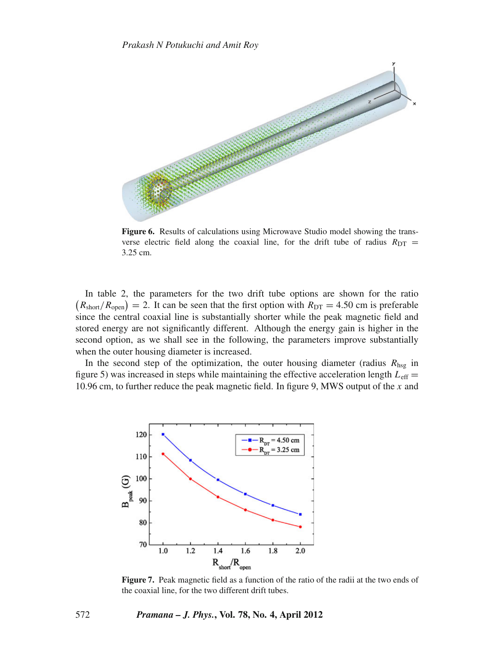

**Figure 6.** Results of calculations using Microwave Studio model showing the transverse electric field along the coaxial line, for the drift tube of radius  $R_{\text{DT}} =$ 3.25 cm.

In table 2, the parameters for the two drift tube options are shown for the ratio  $(R_{\text{short}}/R_{\text{open}}) = 2$ . It can be seen that the first option with  $R_{\text{DT}} = 4.50$  cm is preferable since the central coaxial line is substantially shorter while the peak magnetic field and stored energy are not significantly different. Although the energy gain is higher in the second option, as we shall see in the following, the parameters improve substantially when the outer housing diameter is increased.

In the second step of the optimization, the outer housing diameter (radius  $R_{\text{hsg}}$  in figure 5) was increased in steps while maintaining the effective acceleration length  $L_{\text{eff}} =$ 10.96 cm, to further reduce the peak magnetic field. In figure 9, MWS output of the *x* and



**Figure 7.** Peak magnetic field as a function of the ratio of the radii at the two ends of the coaxial line, for the two different drift tubes.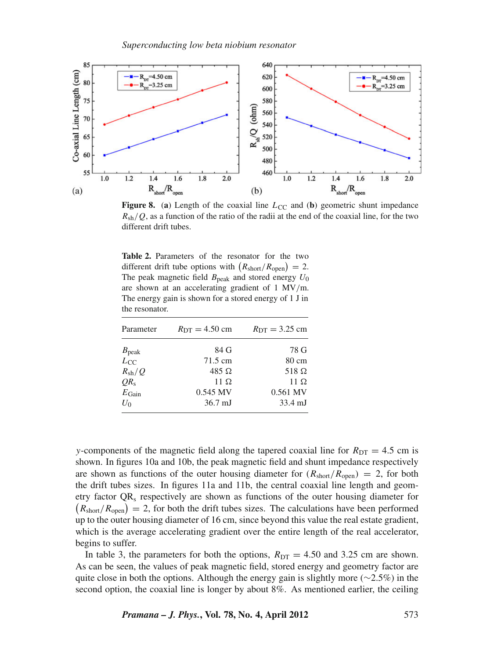

**Figure 8.** (a) Length of the coaxial line  $L_{CC}$  and (b) geometric shunt impedance  $R_{\rm sh}/Q$ , as a function of the ratio of the radii at the end of the coaxial line, for the two different drift tubes.

**Table 2.** Parameters of the resonator for the two different drift tube options with  $(R_{\text{short}}/R_{\text{open}}) = 2$ . The peak magnetic field  $B_{\text{peak}}$  and stored energy  $U_0$ are shown at an accelerating gradient of 1 MV/m. The energy gain is shown for a stored energy of 1 J in the resonator.

| Parameter         | $R_{DT} = 4.50$ cm | $R_{DT} = 3.25$ cm |
|-------------------|--------------------|--------------------|
| $B_{\rm peak}$    | 84 G               | 78 G               |
| $L_{\rm CC}$      | $71.5 \text{ cm}$  | 80 cm              |
| $R_{\rm sh}/Q$    | 485 $\Omega$       | 518 $\Omega$       |
| $QR_{s}$          | 11 $\Omega$        | 11 $\Omega$        |
| $E_{\text{Gain}}$ | $0.545$ MV         | 0.561 MV           |
| $U_0$             | $36.7 \text{ mJ}$  | 33.4 mJ            |

*y*-components of the magnetic field along the tapered coaxial line for  $R_{\text{DT}} = 4.5$  cm is shown. In figures 10a and 10b, the peak magnetic field and shunt impedance respectively are shown as functions of the outer housing diameter for  $(R_{short}/R_{open}) = 2$ , for both the drift tubes sizes. In figures 11a and 11b, the central coaxial line length and geometry factor QRs respectively are shown as functions of the outer housing diameter for  $(R_{\text{short}}/R_{\text{open}}) = 2$ , for both the drift tubes sizes. The calculations have been performed up to the outer housing diameter of 16 cm, since beyond this value the real estate gradient, which is the average accelerating gradient over the entire length of the real accelerator, begins to suffer.

In table 3, the parameters for both the options,  $R_{DT} = 4.50$  and 3.25 cm are shown. As can be seen, the values of peak magnetic field, stored energy and geometry factor are quite close in both the options. Although the energy gain is slightly more ( $∼2.5\%$ ) in the second option, the coaxial line is longer by about 8%. As mentioned earlier, the ceiling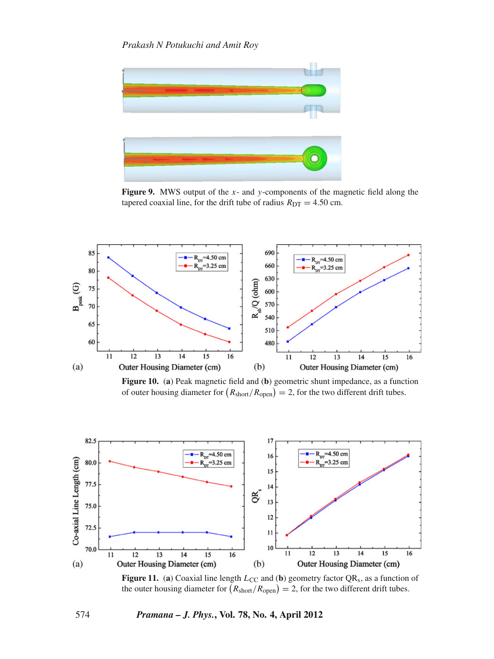

**Figure 9.** MWS output of the *x*- and *y*-components of the magnetic field along the tapered coaxial line, for the drift tube of radius  $R_{DT} = 4.50$  cm.



**Figure 10.** (**a**) Peak magnetic field and (**b**) geometric shunt impedance, as a function of outer housing diameter for  $(R_{\text{short}}/R_{\text{open}}) = 2$ , for the two different drift tubes.



**Figure 11.** (a) Coaxial line length  $L_{CC}$  and (b) geometry factor  $QR_s$ , as a function of the outer housing diameter for  $(R_{\text{short}}/R_{\text{open}}) = 2$ , for the two different drift tubes.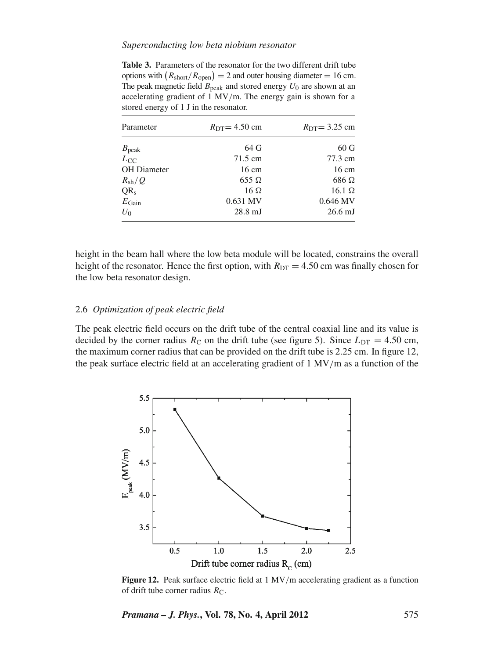### *Superconducting low beta niobium resonator*

**Table 3.** Parameters of the resonator for the two different drift tube options with  $(R_{\text{short}}/R_{\text{open}}) = 2$  and outer housing diameter = 16 cm. The peak magnetic field  $B_{\text{peak}}$  and stored energy  $U_0$  are shown at an accelerating gradient of 1 MV/m. The energy gain is shown for a stored energy of 1 J in the resonator.

| Parameter          | $R_{DT} = 4.50$ cm | $R_{DT} = 3.25$ cm |
|--------------------|--------------------|--------------------|
| $B_{\rm peak}$     | 64 G               | 60 <sub>G</sub>    |
| $L_{\rm CC}$       | $71.5 \text{ cm}$  | 77.3 cm            |
| <b>OH</b> Diameter | $16 \text{ cm}$    | $16 \text{ cm}$    |
| $R_{\rm sh}/Q$     | $655 \Omega$       | $686 \Omega$       |
| $QR_s$             | $16 \Omega$        | $16.1 \Omega$      |
| $E_{\text{Gain}}$  | 0.631 MV           | $0.646$ MV         |
| $U_0$              | $28.8$ mJ          | $26.6$ mJ          |

height in the beam hall where the low beta module will be located, constrains the overall height of the resonator. Hence the first option, with  $R_{DT} = 4.50$  cm was finally chosen for the low beta resonator design.

# 2.6 *Optimization of peak electric field*

The peak electric field occurs on the drift tube of the central coaxial line and its value is decided by the corner radius  $R_C$  on the drift tube (see figure 5). Since  $L_{DT} = 4.50$  cm, the maximum corner radius that can be provided on the drift tube is 2.25 cm. In figure 12, the peak surface electric field at an accelerating gradient of 1 MV/m as a function of the



**Figure 12.** Peak surface electric field at 1 MV/m accelerating gradient as a function of drift tube corner radius  $R_C$ .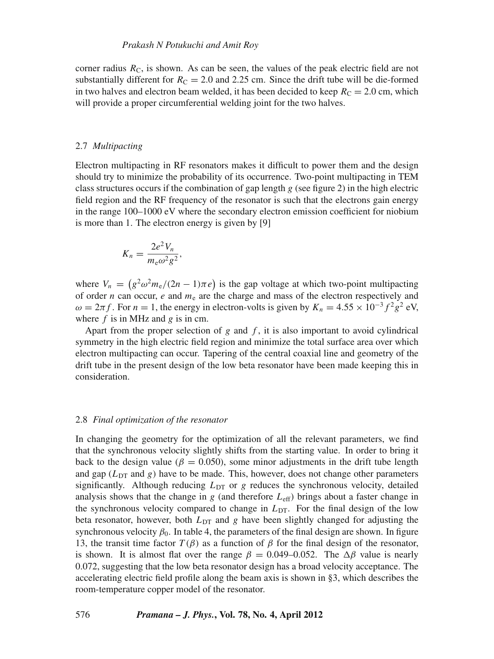corner radius  $R<sub>C</sub>$ , is shown. As can be seen, the values of the peak electric field are not substantially different for  $R_C = 2.0$  and 2.25 cm. Since the drift tube will be die-formed in two halves and electron beam welded, it has been decided to keep  $R_C = 2.0$  cm, which will provide a proper circumferential welding joint for the two halves.

# 2.7 *Multipacting*

Electron multipacting in RF resonators makes it difficult to power them and the design should try to minimize the probability of its occurrence. Two-point multipacting in TEM class structures occurs if the combination of gap length  $g$  (see figure 2) in the high electric field region and the RF frequency of the resonator is such that the electrons gain energy in the range 100–1000 eV where the secondary electron emission coefficient for niobium is more than 1. The electron energy is given by [9]

$$
K_n = \frac{2e^2V_n}{m_e\omega^2g^2},
$$

where  $V_n = (g^2 \omega^2 m_e/(2n-1)\pi e)$  is the gap voltage at which two-point multipacting of order  $n$  can occur,  $e$  and  $m_e$  are the charge and mass of the electron respectively and  $\omega = 2\pi f$ . For  $n = 1$ , the energy in electron-volts is given by  $K_n = 4.55 \times 10^{-3} f^2 g^2$  eV, where *f* is in MHz and *g* is in cm.

Apart from the proper selection of  $g$  and  $f$ , it is also important to avoid cylindrical symmetry in the high electric field region and minimize the total surface area over which electron multipacting can occur. Tapering of the central coaxial line and geometry of the drift tube in the present design of the low beta resonator have been made keeping this in consideration.

#### 2.8 *Final optimization of the resonator*

In changing the geometry for the optimization of all the relevant parameters, we find that the synchronous velocity slightly shifts from the starting value. In order to bring it back to the design value ( $\beta = 0.050$ ), some minor adjustments in the drift tube length and gap  $(L_{DT}$  and *g*) have to be made. This, however, does not change other parameters significantly. Although reducing  $L_{DT}$  or  $g$  reduces the synchronous velocity, detailed analysis shows that the change in  $g$  (and therefore  $L_{\text{eff}}$ ) brings about a faster change in the synchronous velocity compared to change in  $L_{DT}$ . For the final design of the low beta resonator, however, both  $L_{DT}$  and *g* have been slightly changed for adjusting the synchronous velocity  $\beta_0$ . In table 4, the parameters of the final design are shown. In figure 13, the transit time factor *T*( $β$ ) as a function of  $β$  for the final design of the resonator, is shown. It is almost flat over the range  $\beta = 0.049$ –0.052. The  $\Delta \beta$  value is nearly 0.072, suggesting that the low beta resonator design has a broad velocity acceptance. The accelerating electric field profile along the beam axis is shown in §3, which describes the room-temperature copper model of the resonator.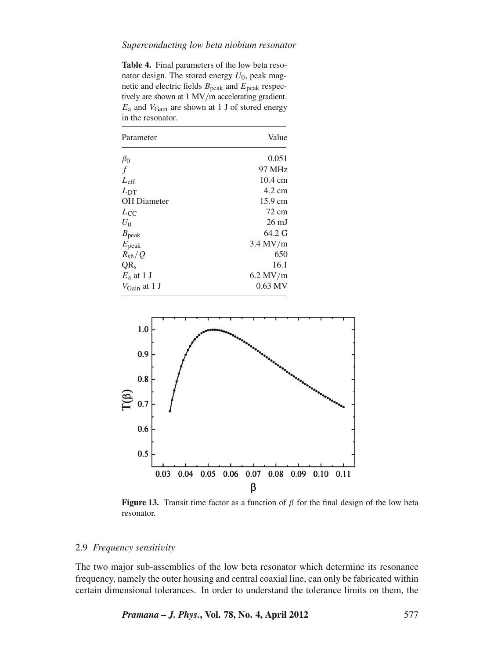### *Superconducting low beta niobium resonator*

**Table 4.** Final parameters of the low beta resonator design. The stored energy  $U_0$ , peak magnetic and electric fields  $B_{\text{peak}}$  and  $E_{\text{peak}}$  respectively are shown at 1 MV/m accelerating gradient. *E*<sup>a</sup> and *V*Gain are shown at 1 J of stored energy in the resonator.

| Parameter                | Value             |
|--------------------------|-------------------|
| $\beta_0$                | 0.051             |
| $\mathcal{f}$            | 97 MHz            |
| $L_{\rm eff}$            | $10.4 \text{ cm}$ |
| $L_{\text{DT}}$          | $4.2 \text{ cm}$  |
| <b>OH</b> Diameter       | 15.9 cm           |
| $L_{\rm CC}$             | 72 cm             |
| $U_0$                    | $26 \text{ mJ}$   |
| $B_{\rm peak}$           | $64.2 \text{ G}$  |
| $E_{\rm peak}$           | $3.4$ MV/m        |
| $R_{\rm sh}/Q$           | 650               |
| OR <sub>s</sub>          | 16.1              |
| $E_a$ at 1 J             | $6.2$ MV/m        |
| $V_{\text{Gain}}$ at 1 J | $0.63$ MV         |



**Figure 13.** Transit time factor as a function of  $\beta$  for the final design of the low beta resonator.

# 2.9 *Frequency sensiti*v*ity*

The two major sub-assemblies of the low beta resonator which determine its resonance frequency, namely the outer housing and central coaxial line, can only be fabricated within certain dimensional tolerances. In order to understand the tolerance limits on them, the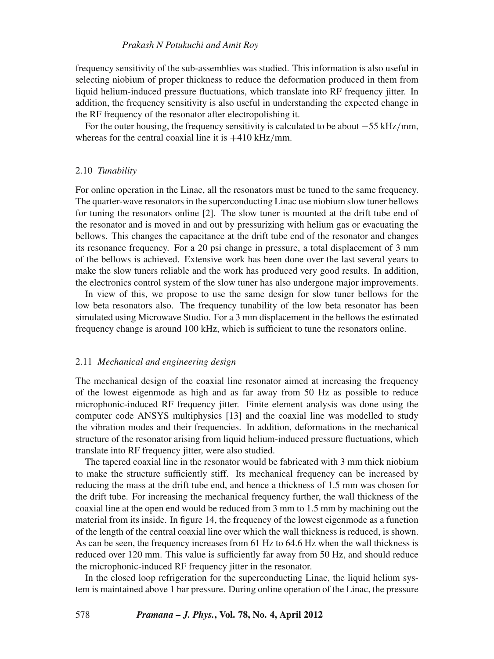frequency sensitivity of the sub-assemblies was studied. This information is also useful in selecting niobium of proper thickness to reduce the deformation produced in them from liquid helium-induced pressure fluctuations, which translate into RF frequency jitter. In addition, the frequency sensitivity is also useful in understanding the expected change in the RF frequency of the resonator after electropolishing it.

For the outer housing, the frequency sensitivity is calculated to be about −55 kHz/mm, whereas for the central coaxial line it is  $+410$  kHz/mm.

#### 2.10 *Tunability*

For online operation in the Linac, all the resonators must be tuned to the same frequency. The quarter-wave resonators in the superconducting Linac use niobium slow tuner bellows for tuning the resonators online [2]. The slow tuner is mounted at the drift tube end of the resonator and is moved in and out by pressurizing with helium gas or evacuating the bellows. This changes the capacitance at the drift tube end of the resonator and changes its resonance frequency. For a 20 psi change in pressure, a total displacement of 3 mm of the bellows is achieved. Extensive work has been done over the last several years to make the slow tuners reliable and the work has produced very good results. In addition, the electronics control system of the slow tuner has also undergone major improvements.

In view of this, we propose to use the same design for slow tuner bellows for the low beta resonators also. The frequency tunability of the low beta resonator has been simulated using Microwave Studio. For a 3 mm displacement in the bellows the estimated frequency change is around 100 kHz, which is sufficient to tune the resonators online.

#### 2.11 *Mechanical and engineering design*

The mechanical design of the coaxial line resonator aimed at increasing the frequency of the lowest eigenmode as high and as far away from 50 Hz as possible to reduce microphonic-induced RF frequency jitter. Finite element analysis was done using the computer code ANSYS multiphysics [13] and the coaxial line was modelled to study the vibration modes and their frequencies. In addition, deformations in the mechanical structure of the resonator arising from liquid helium-induced pressure fluctuations, which translate into RF frequency jitter, were also studied.

The tapered coaxial line in the resonator would be fabricated with 3 mm thick niobium to make the structure sufficiently stiff. Its mechanical frequency can be increased by reducing the mass at the drift tube end, and hence a thickness of 1.5 mm was chosen for the drift tube. For increasing the mechanical frequency further, the wall thickness of the coaxial line at the open end would be reduced from 3 mm to 1.5 mm by machining out the material from its inside. In figure 14, the frequency of the lowest eigenmode as a function of the length of the central coaxial line over which the wall thickness is reduced, is shown. As can be seen, the frequency increases from 61 Hz to 64.6 Hz when the wall thickness is reduced over 120 mm. This value is sufficiently far away from 50 Hz, and should reduce the microphonic-induced RF frequency jitter in the resonator.

In the closed loop refrigeration for the superconducting Linac, the liquid helium system is maintained above 1 bar pressure. During online operation of the Linac, the pressure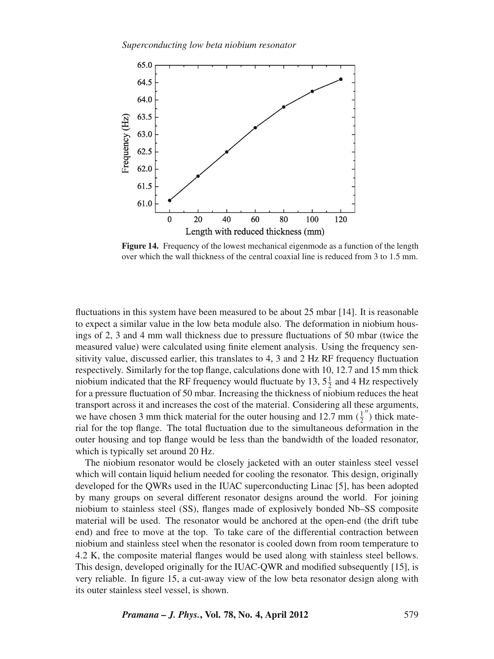

**Figure 14.** Frequency of the lowest mechanical eigenmode as a function of the length over which the wall thickness of the central coaxial line is reduced from 3 to 1.5 mm.

fluctuations in this system have been measured to be about 25 mbar [14]. It is reasonable to expect a similar value in the low beta module also. The deformation in niobium housings of 2, 3 and 4 mm wall thickness due to pressure fluctuations of 50 mbar (twice the measured value) were calculated using finite element analysis. Using the frequency sensitivity value, discussed earlier, this translates to 4, 3 and 2 Hz RF frequency fluctuation respectively. Similarly for the top flange, calculations done with 10, 12.7 and 15 mm thick niobium indicated that the RF frequency would fluctuate by 13,  $5\frac{1}{2}$  and 4 Hz respectively for a pressure fluctuation of 50 mbar. Increasing the thickness of niobium reduces the heat transport across it and increases the cost of the material. Considering all these arguments, we have chosen 3 mm thick material for the outer housing and 12.7 mm  $(\frac{1}{2})$  thick material for the top flange. The total fluctuation due to the simultaneous deformation in the outer housing and top flange would be less than the bandwidth of the loaded resonator, which is typically set around 20 Hz.

The niobium resonator would be closely jacketed with an outer stainless steel vessel which will contain liquid helium needed for cooling the resonator. This design, originally developed for the QWRs used in the IUAC superconducting Linac [5], has been adopted by many groups on several different resonator designs around the world. For joining niobium to stainless steel (SS), flanges made of explosively bonded Nb–SS composite material will be used. The resonator would be anchored at the open-end (the drift tube end) and free to move at the top. To take care of the differential contraction between niobium and stainless steel when the resonator is cooled down from room temperature to 4.2 K, the composite material flanges would be used along with stainless steel bellows. This design, developed originally for the IUAC-QWR and modified subsequently [15], is very reliable. In figure 15, a cut-away view of the low beta resonator design along with its outer stainless steel vessel, is shown.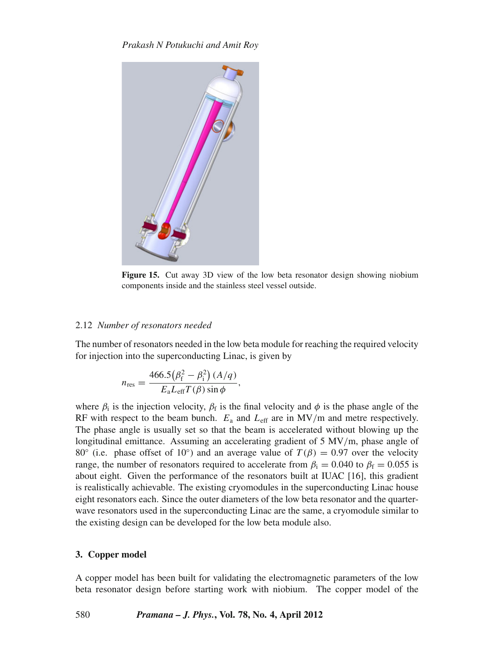

**Figure 15.** Cut away 3D view of the low beta resonator design showing niobium components inside and the stainless steel vessel outside.

# 2.12 *Number of resonators needed*

The number of resonators needed in the low beta module for reaching the required velocity for injection into the superconducting Linac, is given by

$$
n_{\rm res} = \frac{466.5(\beta_{\rm f}^2 - \beta_{\rm i}^2)(A/q)}{E_{\rm a}L_{\rm eff}T(\beta)\sin\phi},
$$

where  $\beta_i$  is the injection velocity,  $\beta_f$  is the final velocity and  $\phi$  is the phase angle of the RF with respect to the beam bunch.  $E_a$  and  $L_{\text{eff}}$  are in MV/m and metre respectively. The phase angle is usually set so that the beam is accelerated without blowing up the longitudinal emittance. Assuming an accelerating gradient of 5 MV/m, phase angle of 80<sup>°</sup> (i.e. phase offset of 10<sup>°</sup>) and an average value of  $T(\beta) = 0.97$  over the velocity range, the number of resonators required to accelerate from  $\beta_i = 0.040$  to  $\beta_f = 0.055$  is about eight. Given the performance of the resonators built at IUAC [16], this gradient is realistically achievable. The existing cryomodules in the superconducting Linac house eight resonators each. Since the outer diameters of the low beta resonator and the quarterwave resonators used in the superconducting Linac are the same, a cryomodule similar to the existing design can be developed for the low beta module also.

# **3. Copper model**

A copper model has been built for validating the electromagnetic parameters of the low beta resonator design before starting work with niobium. The copper model of the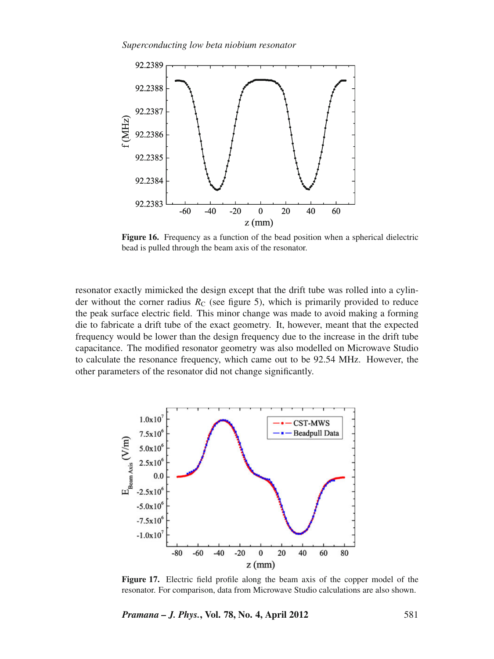*Superconducting low beta niobium resonator*



**Figure 16.** Frequency as a function of the bead position when a spherical dielectric bead is pulled through the beam axis of the resonator.

resonator exactly mimicked the design except that the drift tube was rolled into a cylinder without the corner radius  $R_C$  (see figure 5), which is primarily provided to reduce the peak surface electric field. This minor change was made to avoid making a forming die to fabricate a drift tube of the exact geometry. It, however, meant that the expected frequency would be lower than the design frequency due to the increase in the drift tube capacitance. The modified resonator geometry was also modelled on Microwave Studio to calculate the resonance frequency, which came out to be 92.54 MHz. However, the other parameters of the resonator did not change significantly.



**Figure 17.** Electric field profile along the beam axis of the copper model of the resonator. For comparison, data from Microwave Studio calculations are also shown.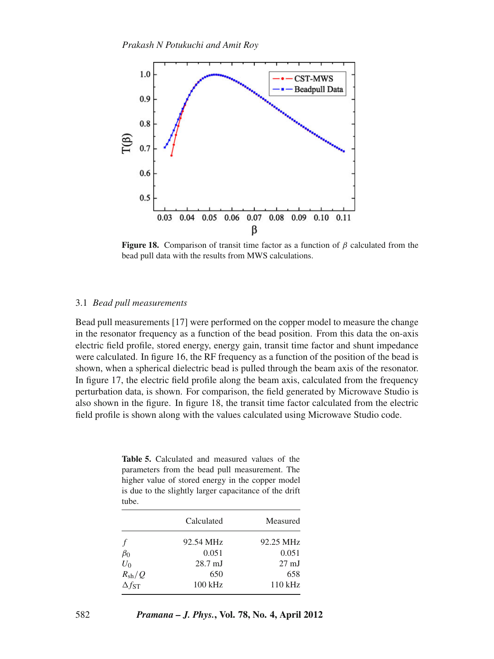

**Figure 18.** Comparison of transit time factor as a function of  $\beta$  calculated from the bead pull data with the results from MWS calculations.

#### 3.1 *Bead pull measurements*

Bead pull measurements [17] were performed on the copper model to measure the change in the resonator frequency as a function of the bead position. From this data the on-axis electric field profile, stored energy, energy gain, transit time factor and shunt impedance were calculated. In figure 16, the RF frequency as a function of the position of the bead is shown, when a spherical dielectric bead is pulled through the beam axis of the resonator. In figure 17, the electric field profile along the beam axis, calculated from the frequency perturbation data, is shown. For comparison, the field generated by Microwave Studio is also shown in the figure. In figure 18, the transit time factor calculated from the electric field profile is shown along with the values calculated using Microwave Studio code.

**Table 5.** Calculated and measured values of the parameters from the bead pull measurement. The higher value of stored energy in the copper model is due to the slightly larger capacitance of the drift tube.

| Calculated        | Measured        |
|-------------------|-----------------|
| 92.54 MHz         | 92.25 MHz       |
| 0.051             | 0.051           |
| $28.7 \text{ mJ}$ | $27 \text{ mJ}$ |
| 650               | 658             |
| $100$ kHz         | $110$ kHz       |
|                   |                 |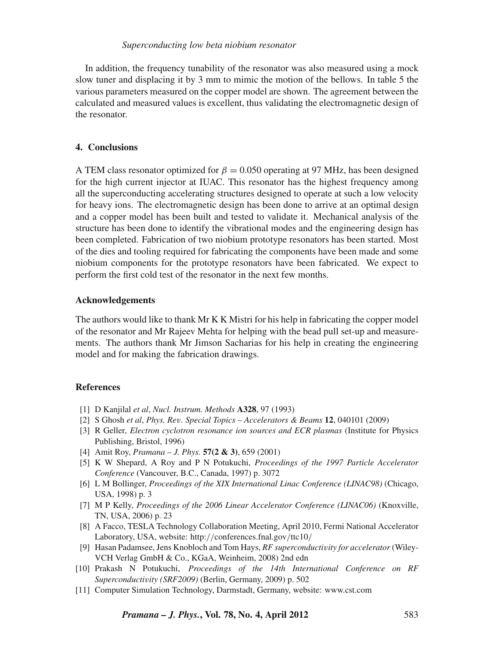In addition, the frequency tunability of the resonator was also measured using a mock slow tuner and displacing it by 3 mm to mimic the motion of the bellows. In table 5 the various parameters measured on the copper model are shown. The agreement between the calculated and measured values is excellent, thus validating the electromagnetic design of the resonator.

# **4. Conclusions**

A TEM class resonator optimized for  $\beta = 0.050$  operating at 97 MHz, has been designed for the high current injector at IUAC. This resonator has the highest frequency among all the superconducting accelerating structures designed to operate at such a low velocity for heavy ions. The electromagnetic design has been done to arrive at an optimal design and a copper model has been built and tested to validate it. Mechanical analysis of the structure has been done to identify the vibrational modes and the engineering design has been completed. Fabrication of two niobium prototype resonators has been started. Most of the dies and tooling required for fabricating the components have been made and some niobium components for the prototype resonators have been fabricated. We expect to perform the first cold test of the resonator in the next few months.

#### **Acknowledgements**

The authors would like to thank Mr K K Mistri for his help in fabricating the copper model of the resonator and Mr Rajeev Mehta for helping with the bead pull set-up and measurements. The authors thank Mr Jimson Sacharias for his help in creating the engineering model and for making the fabrication drawings.

# **References**

- [1] D Kanjilal *et al*, *Nucl. Instrum. Methods* **A328**, 97 (1993)
- [2] S Ghosh *et al*, *Phys. Re*v*. Special Topics Accelerators & Beams* **12**, 040101 (2009)
- [3] R Geller, *Electron cyclotron resonance ion sources and ECR plasmas* (Institute for Physics Publishing, Bristol, 1996)
- [4] Amit Roy, *Pramana J. Phys.* **57(2 & 3)**, 659 (2001)
- [5] K W Shepard, A Roy and P N Potukuchi, *Proceedings of the 1997 Particle Accelerator Conference* (Vancouver, B.C., Canada, 1997) p. 3072
- [6] L M Bollinger, *Proceedings of the XIX International Linac Conference (LINAC98)* (Chicago, USA, 1998) p. 3
- [7] M P Kelly, *Proceedings of the 2006 Linear Accelerator Conference (LINAC06)* (Knoxville, TN, USA, 2006) p. 23
- [8] A Facco, TESLA Technology Collaboration Meeting, April 2010, Fermi National Accelerator Laboratory, USA, website: http://conferences.fnal.gov/ttc10/
- [9] Hasan Padamsee, Jens Knobloch and Tom Hays, *RF superconducti*v*ity for accelerator* (Wiley-VCH Verlag GmbH & Co., KGaA, Weinheim, 2008) 2nd edn
- [10] Prakash N Potukuchi, *Proceedings of the 14th International Conference on RF Superconducti*v*ity (SRF2009)* (Berlin, Germany, 2009) p. 502
- [11] Computer Simulation Technology, Darmstadt, Germany, website: www.cst.com